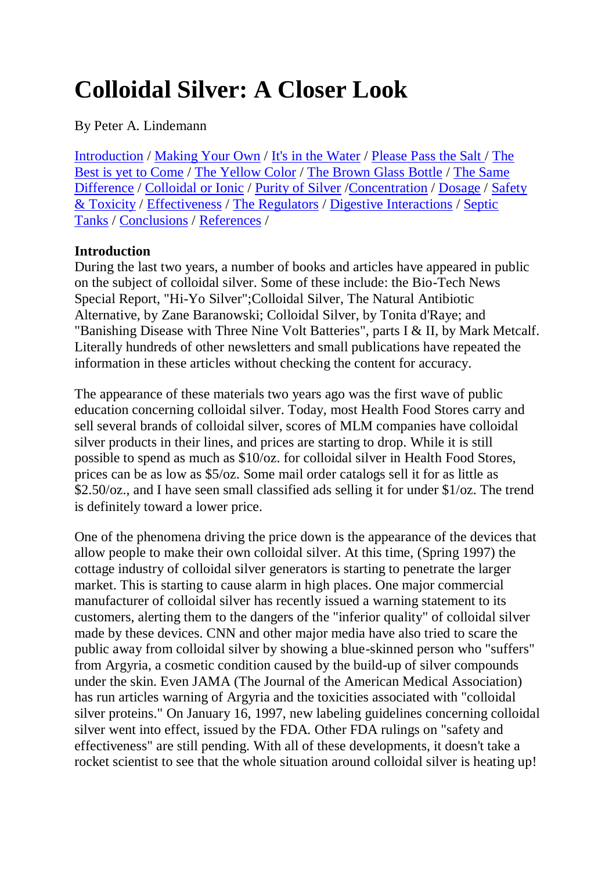# **Colloidal Silver: A Closer Look**

By Peter A. Lindemann

[Introduction](http://www.whale.to/a/lindemann.html#Introduction_) / [Making Your Own](http://www.whale.to/a/lindemann.html#Making_Your_Own_) / [It's in the Water](http://www.whale.to/a/lindemann.html#Its_In_The_Water_) / [Please Pass the Salt](http://www.whale.to/a/lindemann.html#Please_Pass_The_Salt_) / [The](http://www.whale.to/a/lindemann.html#The_Best_Is_Yet_To_Come_)  [Best is yet to Come](http://www.whale.to/a/lindemann.html#The_Best_Is_Yet_To_Come_) / [The Yellow Color](http://www.whale.to/a/lindemann.html#The_Yellow_Color_) / [The Brown Glass Bottle](http://www.whale.to/a/lindemann.html#The_Brown_Glass_Bottle_) / [The Same](http://www.whale.to/a/lindemann.html#The_Same_Difference_)  [Difference](http://www.whale.to/a/lindemann.html#The_Same_Difference_) / [Colloidal or Ionic](http://www.whale.to/a/lindemann.html#Colloidal_or_Ionic_) / [Purity of Silver](http://www.whale.to/a/lindemann.html#Purity_of_Silver_) [/Concentration](http://www.whale.to/a/lindemann.html#Concentration_) / [Dosage](http://www.whale.to/a/lindemann.html#Dosage_) / [Safety](http://www.whale.to/a/lindemann.html#Safety_and_Toxicity_)  [& Toxicity](http://www.whale.to/a/lindemann.html#Safety_and_Toxicity_) / [Effectiveness](http://www.whale.to/a/lindemann.html#Effectiveness_) / [The Regulators](http://www.whale.to/a/lindemann.html#The_Regulators_) / [Digestive Interactions](http://www.whale.to/a/lindemann.html#Digestive_Interactions_) / [Septic](http://www.whale.to/a/lindemann.html#Septic_Tanks_)  [Tanks](http://www.whale.to/a/lindemann.html#Septic_Tanks_) / [Conclusions](http://www.whale.to/a/lindemann.html#Conclusions_) / [References](http://www.whale.to/a/lindemann.html#References:_) /

# **Introduction**

During the last two years, a number of books and articles have appeared in public on the subject of colloidal silver. Some of these include: the Bio-Tech News Special Report, "Hi-Yo Silver";Colloidal Silver, The Natural Antibiotic Alternative, by Zane Baranowski; Colloidal Silver, by Tonita d'Raye; and "Banishing Disease with Three Nine Volt Batteries", parts I & II, by Mark Metcalf. Literally hundreds of other newsletters and small publications have repeated the information in these articles without checking the content for accuracy.

The appearance of these materials two years ago was the first wave of public education concerning colloidal silver. Today, most Health Food Stores carry and sell several brands of colloidal silver, scores of MLM companies have colloidal silver products in their lines, and prices are starting to drop. While it is still possible to spend as much as \$10/oz. for colloidal silver in Health Food Stores, prices can be as low as \$5/oz. Some mail order catalogs sell it for as little as \$2.50/oz., and I have seen small classified ads selling it for under \$1/oz. The trend is definitely toward a lower price.

One of the phenomena driving the price down is the appearance of the devices that allow people to make their own colloidal silver. At this time, (Spring 1997) the cottage industry of colloidal silver generators is starting to penetrate the larger market. This is starting to cause alarm in high places. One major commercial manufacturer of colloidal silver has recently issued a warning statement to its customers, alerting them to the dangers of the "inferior quality" of colloidal silver made by these devices. CNN and other major media have also tried to scare the public away from colloidal silver by showing a blue-skinned person who "suffers" from Argyria, a cosmetic condition caused by the build-up of silver compounds under the skin. Even JAMA (The Journal of the American Medical Association) has run articles warning of Argyria and the toxicities associated with "colloidal silver proteins." On January 16, 1997, new labeling guidelines concerning colloidal silver went into effect, issued by the FDA. Other FDA rulings on "safety and effectiveness" are still pending. With all of these developments, it doesn't take a rocket scientist to see that the whole situation around colloidal silver is heating up!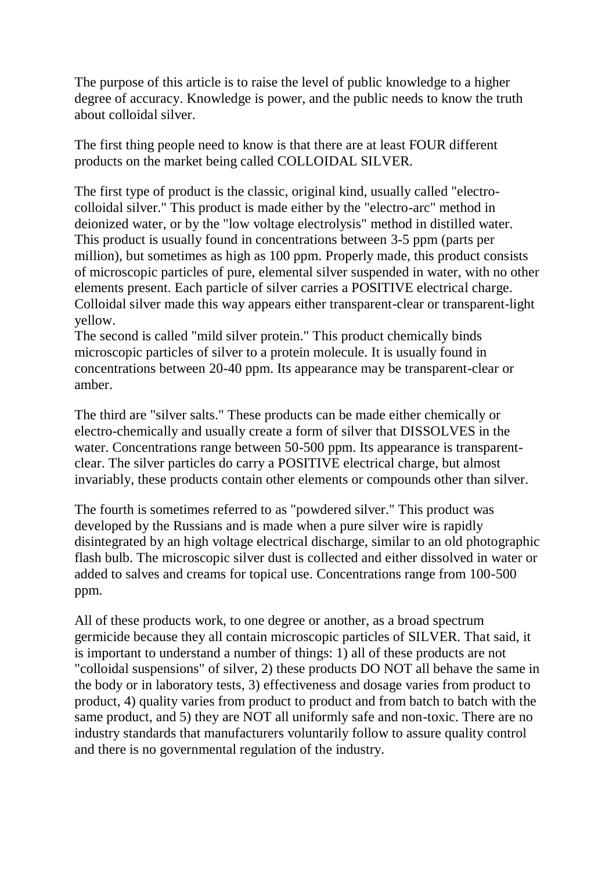The purpose of this article is to raise the level of public knowledge to a higher degree of accuracy. Knowledge is power, and the public needs to know the truth about colloidal silver.

The first thing people need to know is that there are at least FOUR different products on the market being called COLLOIDAL SILVER.

The first type of product is the classic, original kind, usually called "electrocolloidal silver." This product is made either by the "electro-arc" method in deionized water, or by the "low voltage electrolysis" method in distilled water. This product is usually found in concentrations between 3-5 ppm (parts per million), but sometimes as high as 100 ppm. Properly made, this product consists of microscopic particles of pure, elemental silver suspended in water, with no other elements present. Each particle of silver carries a POSITIVE electrical charge. Colloidal silver made this way appears either transparent-clear or transparent-light yellow.

The second is called "mild silver protein." This product chemically binds microscopic particles of silver to a protein molecule. It is usually found in concentrations between 20-40 ppm. Its appearance may be transparent-clear or amber.

The third are "silver salts." These products can be made either chemically or electro-chemically and usually create a form of silver that DISSOLVES in the water. Concentrations range between 50-500 ppm. Its appearance is transparentclear. The silver particles do carry a POSITIVE electrical charge, but almost invariably, these products contain other elements or compounds other than silver.

The fourth is sometimes referred to as "powdered silver." This product was developed by the Russians and is made when a pure silver wire is rapidly disintegrated by an high voltage electrical discharge, similar to an old photographic flash bulb. The microscopic silver dust is collected and either dissolved in water or added to salves and creams for topical use. Concentrations range from 100-500 ppm.

All of these products work, to one degree or another, as a broad spectrum germicide because they all contain microscopic particles of SILVER. That said, it is important to understand a number of things: 1) all of these products are not "colloidal suspensions" of silver, 2) these products DO NOT all behave the same in the body or in laboratory tests, 3) effectiveness and dosage varies from product to product, 4) quality varies from product to product and from batch to batch with the same product, and 5) they are NOT all uniformly safe and non-toxic. There are no industry standards that manufacturers voluntarily follow to assure quality control and there is no governmental regulation of the industry.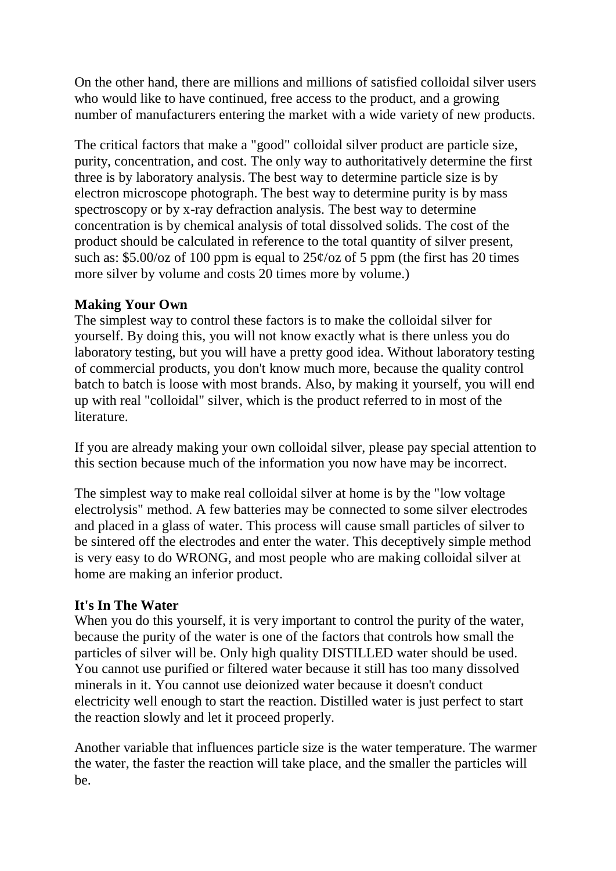On the other hand, there are millions and millions of satisfied colloidal silver users who would like to have continued, free access to the product, and a growing number of manufacturers entering the market with a wide variety of new products.

The critical factors that make a "good" colloidal silver product are particle size, purity, concentration, and cost. The only way to authoritatively determine the first three is by laboratory analysis. The best way to determine particle size is by electron microscope photograph. The best way to determine purity is by mass spectroscopy or by x-ray defraction analysis. The best way to determine concentration is by chemical analysis of total dissolved solids. The cost of the product should be calculated in reference to the total quantity of silver present, such as:  $$5.00/oz$  of 100 ppm is equal to  $25¢/oz$  of 5 ppm (the first has 20 times more silver by volume and costs 20 times more by volume.)

## **Making Your Own**

The simplest way to control these factors is to make the colloidal silver for yourself. By doing this, you will not know exactly what is there unless you do laboratory testing, but you will have a pretty good idea. Without laboratory testing of commercial products, you don't know much more, because the quality control batch to batch is loose with most brands. Also, by making it yourself, you will end up with real "colloidal" silver, which is the product referred to in most of the literature.

If you are already making your own colloidal silver, please pay special attention to this section because much of the information you now have may be incorrect.

The simplest way to make real colloidal silver at home is by the "low voltage electrolysis" method. A few batteries may be connected to some silver electrodes and placed in a glass of water. This process will cause small particles of silver to be sintered off the electrodes and enter the water. This deceptively simple method is very easy to do WRONG, and most people who are making colloidal silver at home are making an inferior product.

# **It's In The Water**

When you do this yourself, it is very important to control the purity of the water, because the purity of the water is one of the factors that controls how small the particles of silver will be. Only high quality DISTILLED water should be used. You cannot use purified or filtered water because it still has too many dissolved minerals in it. You cannot use deionized water because it doesn't conduct electricity well enough to start the reaction. Distilled water is just perfect to start the reaction slowly and let it proceed properly.

Another variable that influences particle size is the water temperature. The warmer the water, the faster the reaction will take place, and the smaller the particles will be.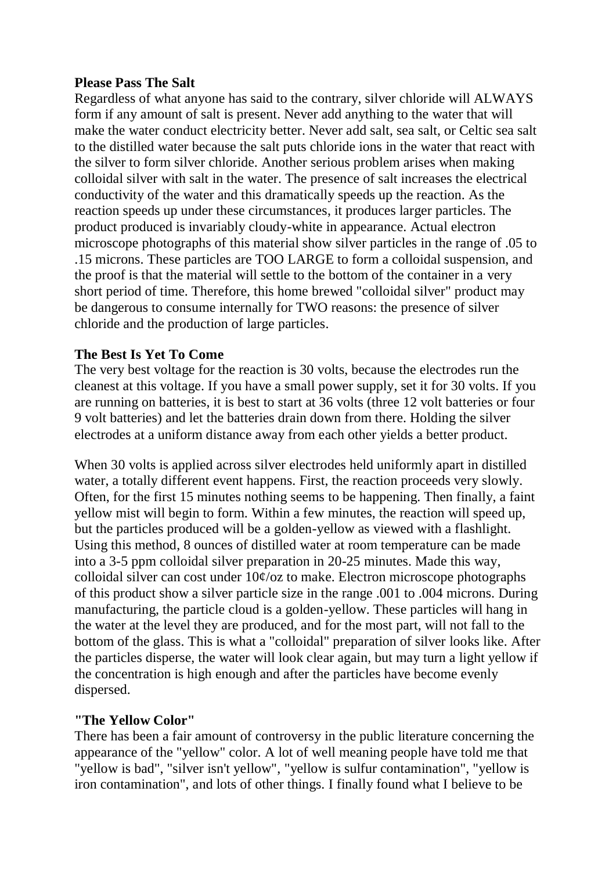#### **Please Pass The Salt**

Regardless of what anyone has said to the contrary, silver chloride will ALWAYS form if any amount of salt is present. Never add anything to the water that will make the water conduct electricity better. Never add salt, sea salt, or Celtic sea salt to the distilled water because the salt puts chloride ions in the water that react with the silver to form silver chloride. Another serious problem arises when making colloidal silver with salt in the water. The presence of salt increases the electrical conductivity of the water and this dramatically speeds up the reaction. As the reaction speeds up under these circumstances, it produces larger particles. The product produced is invariably cloudy-white in appearance. Actual electron microscope photographs of this material show silver particles in the range of .05 to .15 microns. These particles are TOO LARGE to form a colloidal suspension, and the proof is that the material will settle to the bottom of the container in a very short period of time. Therefore, this home brewed "colloidal silver" product may be dangerous to consume internally for TWO reasons: the presence of silver chloride and the production of large particles.

## **The Best Is Yet To Come**

The very best voltage for the reaction is 30 volts, because the electrodes run the cleanest at this voltage. If you have a small power supply, set it for 30 volts. If you are running on batteries, it is best to start at 36 volts (three 12 volt batteries or four 9 volt batteries) and let the batteries drain down from there. Holding the silver electrodes at a uniform distance away from each other yields a better product.

When 30 volts is applied across silver electrodes held uniformly apart in distilled water, a totally different event happens. First, the reaction proceeds very slowly. Often, for the first 15 minutes nothing seems to be happening. Then finally, a faint yellow mist will begin to form. Within a few minutes, the reaction will speed up, but the particles produced will be a golden-yellow as viewed with a flashlight. Using this method, 8 ounces of distilled water at room temperature can be made into a 3-5 ppm colloidal silver preparation in 20-25 minutes. Made this way, colloidal silver can cost under  $10\frac{\epsilon}{\alpha}$  to make. Electron microscope photographs of this product show a silver particle size in the range .001 to .004 microns. During manufacturing, the particle cloud is a golden-yellow. These particles will hang in the water at the level they are produced, and for the most part, will not fall to the bottom of the glass. This is what a "colloidal" preparation of silver looks like. After the particles disperse, the water will look clear again, but may turn a light yellow if the concentration is high enough and after the particles have become evenly dispersed.

## **"The Yellow Color"**

There has been a fair amount of controversy in the public literature concerning the appearance of the "yellow" color. A lot of well meaning people have told me that "yellow is bad", "silver isn't yellow", "yellow is sulfur contamination", "yellow is iron contamination", and lots of other things. I finally found what I believe to be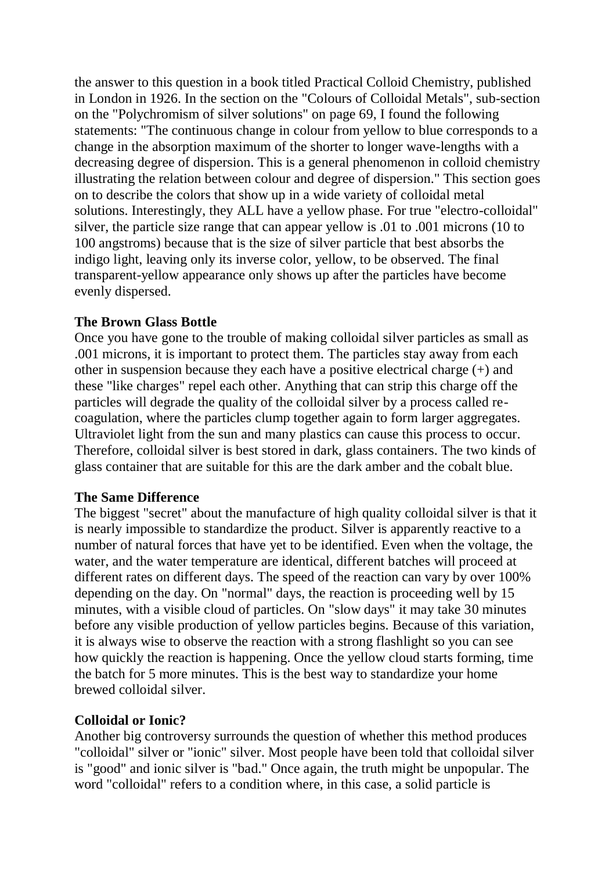the answer to this question in a book titled Practical Colloid Chemistry, published in London in 1926. In the section on the "Colours of Colloidal Metals", sub-section on the "Polychromism of silver solutions" on page 69, I found the following statements: "The continuous change in colour from yellow to blue corresponds to a change in the absorption maximum of the shorter to longer wave-lengths with a decreasing degree of dispersion. This is a general phenomenon in colloid chemistry illustrating the relation between colour and degree of dispersion." This section goes on to describe the colors that show up in a wide variety of colloidal metal solutions. Interestingly, they ALL have a yellow phase. For true "electro-colloidal" silver, the particle size range that can appear yellow is .01 to .001 microns (10 to 100 angstroms) because that is the size of silver particle that best absorbs the indigo light, leaving only its inverse color, yellow, to be observed. The final transparent-yellow appearance only shows up after the particles have become evenly dispersed.

## **The Brown Glass Bottle**

Once you have gone to the trouble of making colloidal silver particles as small as .001 microns, it is important to protect them. The particles stay away from each other in suspension because they each have a positive electrical charge (+) and these "like charges" repel each other. Anything that can strip this charge off the particles will degrade the quality of the colloidal silver by a process called recoagulation, where the particles clump together again to form larger aggregates. Ultraviolet light from the sun and many plastics can cause this process to occur. Therefore, colloidal silver is best stored in dark, glass containers. The two kinds of glass container that are suitable for this are the dark amber and the cobalt blue.

#### **The Same Difference**

The biggest "secret" about the manufacture of high quality colloidal silver is that it is nearly impossible to standardize the product. Silver is apparently reactive to a number of natural forces that have yet to be identified. Even when the voltage, the water, and the water temperature are identical, different batches will proceed at different rates on different days. The speed of the reaction can vary by over 100% depending on the day. On "normal" days, the reaction is proceeding well by 15 minutes, with a visible cloud of particles. On "slow days" it may take 30 minutes before any visible production of yellow particles begins. Because of this variation, it is always wise to observe the reaction with a strong flashlight so you can see how quickly the reaction is happening. Once the yellow cloud starts forming, time the batch for 5 more minutes. This is the best way to standardize your home brewed colloidal silver.

#### **Colloidal or Ionic?**

Another big controversy surrounds the question of whether this method produces "colloidal" silver or "ionic" silver. Most people have been told that colloidal silver is "good" and ionic silver is "bad." Once again, the truth might be unpopular. The word "colloidal" refers to a condition where, in this case, a solid particle is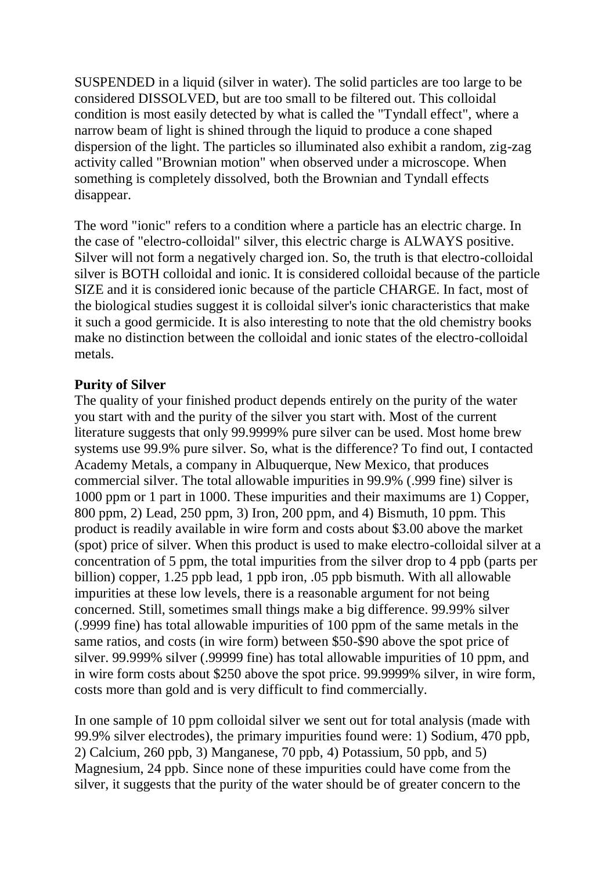SUSPENDED in a liquid (silver in water). The solid particles are too large to be considered DISSOLVED, but are too small to be filtered out. This colloidal condition is most easily detected by what is called the "Tyndall effect", where a narrow beam of light is shined through the liquid to produce a cone shaped dispersion of the light. The particles so illuminated also exhibit a random, zig-zag activity called "Brownian motion" when observed under a microscope. When something is completely dissolved, both the Brownian and Tyndall effects disappear.

The word "ionic" refers to a condition where a particle has an electric charge. In the case of "electro-colloidal" silver, this electric charge is ALWAYS positive. Silver will not form a negatively charged ion. So, the truth is that electro-colloidal silver is BOTH colloidal and ionic. It is considered colloidal because of the particle SIZE and it is considered ionic because of the particle CHARGE. In fact, most of the biological studies suggest it is colloidal silver's ionic characteristics that make it such a good germicide. It is also interesting to note that the old chemistry books make no distinction between the colloidal and ionic states of the electro-colloidal metals.

## **Purity of Silver**

The quality of your finished product depends entirely on the purity of the water you start with and the purity of the silver you start with. Most of the current literature suggests that only 99.9999% pure silver can be used. Most home brew systems use 99.9% pure silver. So, what is the difference? To find out, I contacted Academy Metals, a company in Albuquerque, New Mexico, that produces commercial silver. The total allowable impurities in 99.9% (.999 fine) silver is 1000 ppm or 1 part in 1000. These impurities and their maximums are 1) Copper, 800 ppm, 2) Lead, 250 ppm, 3) Iron, 200 ppm, and 4) Bismuth, 10 ppm. This product is readily available in wire form and costs about \$3.00 above the market (spot) price of silver. When this product is used to make electro-colloidal silver at a concentration of 5 ppm, the total impurities from the silver drop to 4 ppb (parts per billion) copper, 1.25 ppb lead, 1 ppb iron, .05 ppb bismuth. With all allowable impurities at these low levels, there is a reasonable argument for not being concerned. Still, sometimes small things make a big difference. 99.99% silver (.9999 fine) has total allowable impurities of 100 ppm of the same metals in the same ratios, and costs (in wire form) between \$50-\$90 above the spot price of silver. 99.999% silver (.99999 fine) has total allowable impurities of 10 ppm, and in wire form costs about \$250 above the spot price. 99.9999% silver, in wire form, costs more than gold and is very difficult to find commercially.

In one sample of 10 ppm colloidal silver we sent out for total analysis (made with 99.9% silver electrodes), the primary impurities found were: 1) Sodium, 470 ppb, 2) Calcium, 260 ppb, 3) Manganese, 70 ppb, 4) Potassium, 50 ppb, and 5) Magnesium, 24 ppb. Since none of these impurities could have come from the silver, it suggests that the purity of the water should be of greater concern to the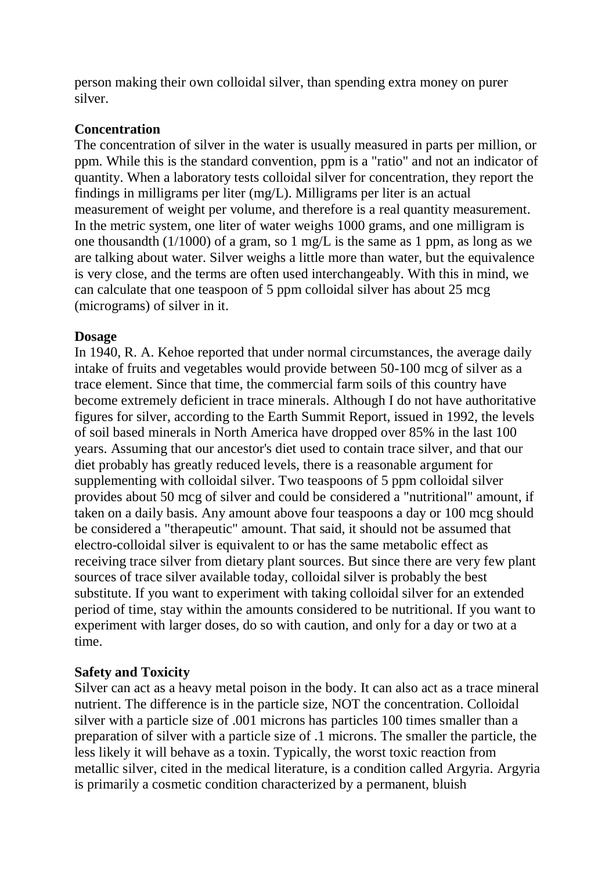person making their own colloidal silver, than spending extra money on purer silver.

#### **Concentration**

The concentration of silver in the water is usually measured in parts per million, or ppm. While this is the standard convention, ppm is a "ratio" and not an indicator of quantity. When a laboratory tests colloidal silver for concentration, they report the findings in milligrams per liter (mg/L). Milligrams per liter is an actual measurement of weight per volume, and therefore is a real quantity measurement. In the metric system, one liter of water weighs 1000 grams, and one milligram is one thousandth (1/1000) of a gram, so 1 mg/L is the same as 1 ppm, as long as we are talking about water. Silver weighs a little more than water, but the equivalence is very close, and the terms are often used interchangeably. With this in mind, we can calculate that one teaspoon of 5 ppm colloidal silver has about 25 mcg (micrograms) of silver in it.

## **Dosage**

In 1940, R. A. Kehoe reported that under normal circumstances, the average daily intake of fruits and vegetables would provide between 50-100 mcg of silver as a trace element. Since that time, the commercial farm soils of this country have become extremely deficient in trace minerals. Although I do not have authoritative figures for silver, according to the Earth Summit Report, issued in 1992, the levels of soil based minerals in North America have dropped over 85% in the last 100 years. Assuming that our ancestor's diet used to contain trace silver, and that our diet probably has greatly reduced levels, there is a reasonable argument for supplementing with colloidal silver. Two teaspoons of 5 ppm colloidal silver provides about 50 mcg of silver and could be considered a "nutritional" amount, if taken on a daily basis. Any amount above four teaspoons a day or 100 mcg should be considered a "therapeutic" amount. That said, it should not be assumed that electro-colloidal silver is equivalent to or has the same metabolic effect as receiving trace silver from dietary plant sources. But since there are very few plant sources of trace silver available today, colloidal silver is probably the best substitute. If you want to experiment with taking colloidal silver for an extended period of time, stay within the amounts considered to be nutritional. If you want to experiment with larger doses, do so with caution, and only for a day or two at a time.

## **Safety and Toxicity**

Silver can act as a heavy metal poison in the body. It can also act as a trace mineral nutrient. The difference is in the particle size, NOT the concentration. Colloidal silver with a particle size of .001 microns has particles 100 times smaller than a preparation of silver with a particle size of .1 microns. The smaller the particle, the less likely it will behave as a toxin. Typically, the worst toxic reaction from metallic silver, cited in the medical literature, is a condition called Argyria. Argyria is primarily a cosmetic condition characterized by a permanent, bluish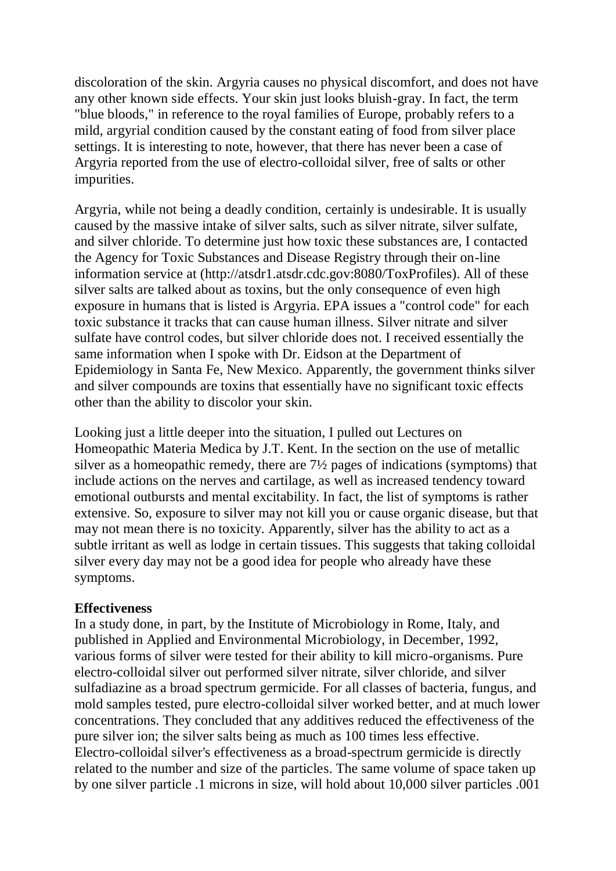discoloration of the skin. Argyria causes no physical discomfort, and does not have any other known side effects. Your skin just looks bluish-gray. In fact, the term "blue bloods," in reference to the royal families of Europe, probably refers to a mild, argyrial condition caused by the constant eating of food from silver place settings. It is interesting to note, however, that there has never been a case of Argyria reported from the use of electro-colloidal silver, free of salts or other impurities.

Argyria, while not being a deadly condition, certainly is undesirable. It is usually caused by the massive intake of silver salts, such as silver nitrate, silver sulfate, and silver chloride. To determine just how toxic these substances are, I contacted the Agency for Toxic Substances and Disease Registry through their on-line information service at (http://atsdr1.atsdr.cdc.gov:8080/ToxProfiles). All of these silver salts are talked about as toxins, but the only consequence of even high exposure in humans that is listed is Argyria. EPA issues a "control code" for each toxic substance it tracks that can cause human illness. Silver nitrate and silver sulfate have control codes, but silver chloride does not. I received essentially the same information when I spoke with Dr. Eidson at the Department of Epidemiology in Santa Fe, New Mexico. Apparently, the government thinks silver and silver compounds are toxins that essentially have no significant toxic effects other than the ability to discolor your skin.

Looking just a little deeper into the situation, I pulled out Lectures on Homeopathic Materia Medica by J.T. Kent. In the section on the use of metallic silver as a homeopathic remedy, there are 7½ pages of indications (symptoms) that include actions on the nerves and cartilage, as well as increased tendency toward emotional outbursts and mental excitability. In fact, the list of symptoms is rather extensive. So, exposure to silver may not kill you or cause organic disease, but that may not mean there is no toxicity. Apparently, silver has the ability to act as a subtle irritant as well as lodge in certain tissues. This suggests that taking colloidal silver every day may not be a good idea for people who already have these symptoms.

#### **Effectiveness**

In a study done, in part, by the Institute of Microbiology in Rome, Italy, and published in Applied and Environmental Microbiology, in December, 1992, various forms of silver were tested for their ability to kill micro-organisms. Pure electro-colloidal silver out performed silver nitrate, silver chloride, and silver sulfadiazine as a broad spectrum germicide. For all classes of bacteria, fungus, and mold samples tested, pure electro-colloidal silver worked better, and at much lower concentrations. They concluded that any additives reduced the effectiveness of the pure silver ion; the silver salts being as much as 100 times less effective. Electro-colloidal silver's effectiveness as a broad-spectrum germicide is directly related to the number and size of the particles. The same volume of space taken up by one silver particle .1 microns in size, will hold about 10,000 silver particles .001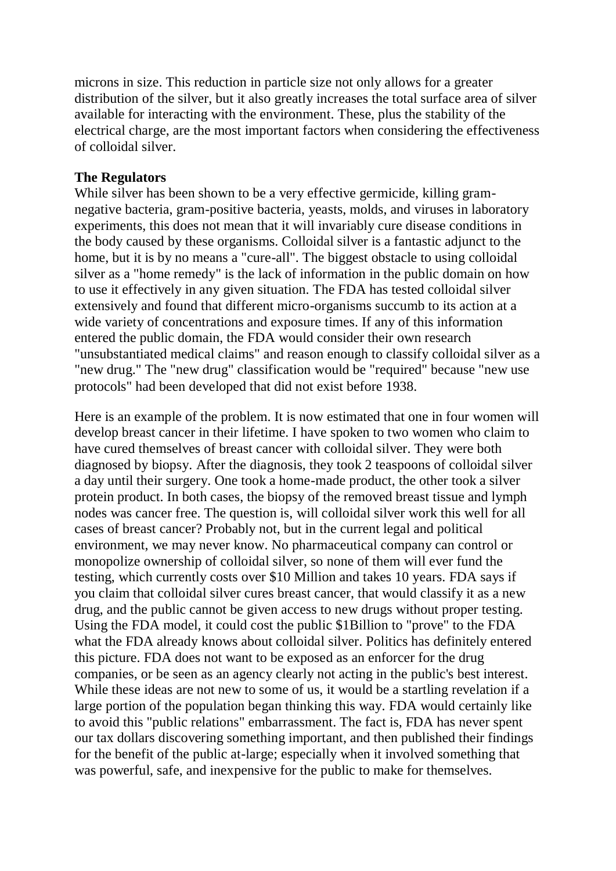microns in size. This reduction in particle size not only allows for a greater distribution of the silver, but it also greatly increases the total surface area of silver available for interacting with the environment. These, plus the stability of the electrical charge, are the most important factors when considering the effectiveness of colloidal silver.

## **The Regulators**

While silver has been shown to be a very effective germicide, killing gramnegative bacteria, gram-positive bacteria, yeasts, molds, and viruses in laboratory experiments, this does not mean that it will invariably cure disease conditions in the body caused by these organisms. Colloidal silver is a fantastic adjunct to the home, but it is by no means a "cure-all". The biggest obstacle to using colloidal silver as a "home remedy" is the lack of information in the public domain on how to use it effectively in any given situation. The FDA has tested colloidal silver extensively and found that different micro-organisms succumb to its action at a wide variety of concentrations and exposure times. If any of this information entered the public domain, the FDA would consider their own research "unsubstantiated medical claims" and reason enough to classify colloidal silver as a "new drug." The "new drug" classification would be "required" because "new use protocols" had been developed that did not exist before 1938.

Here is an example of the problem. It is now estimated that one in four women will develop breast cancer in their lifetime. I have spoken to two women who claim to have cured themselves of breast cancer with colloidal silver. They were both diagnosed by biopsy. After the diagnosis, they took 2 teaspoons of colloidal silver a day until their surgery. One took a home-made product, the other took a silver protein product. In both cases, the biopsy of the removed breast tissue and lymph nodes was cancer free. The question is, will colloidal silver work this well for all cases of breast cancer? Probably not, but in the current legal and political environment, we may never know. No pharmaceutical company can control or monopolize ownership of colloidal silver, so none of them will ever fund the testing, which currently costs over \$10 Million and takes 10 years. FDA says if you claim that colloidal silver cures breast cancer, that would classify it as a new drug, and the public cannot be given access to new drugs without proper testing. Using the FDA model, it could cost the public \$1Billion to "prove" to the FDA what the FDA already knows about colloidal silver. Politics has definitely entered this picture. FDA does not want to be exposed as an enforcer for the drug companies, or be seen as an agency clearly not acting in the public's best interest. While these ideas are not new to some of us, it would be a startling revelation if a large portion of the population began thinking this way. FDA would certainly like to avoid this "public relations" embarrassment. The fact is, FDA has never spent our tax dollars discovering something important, and then published their findings for the benefit of the public at-large; especially when it involved something that was powerful, safe, and inexpensive for the public to make for themselves.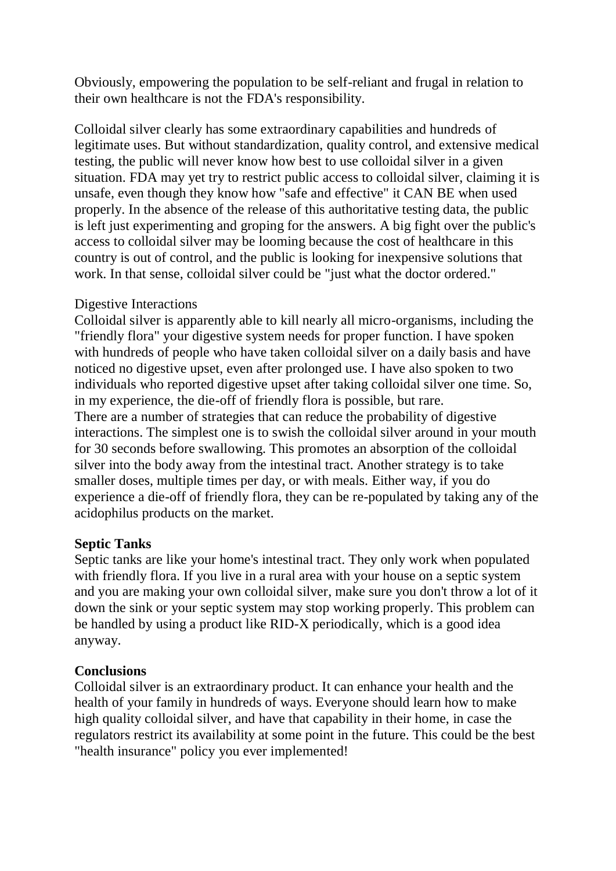Obviously, empowering the population to be self-reliant and frugal in relation to their own healthcare is not the FDA's responsibility.

Colloidal silver clearly has some extraordinary capabilities and hundreds of legitimate uses. But without standardization, quality control, and extensive medical testing, the public will never know how best to use colloidal silver in a given situation. FDA may yet try to restrict public access to colloidal silver, claiming it is unsafe, even though they know how "safe and effective" it CAN BE when used properly. In the absence of the release of this authoritative testing data, the public is left just experimenting and groping for the answers. A big fight over the public's access to colloidal silver may be looming because the cost of healthcare in this country is out of control, and the public is looking for inexpensive solutions that work. In that sense, colloidal silver could be "just what the doctor ordered."

## Digestive Interactions

Colloidal silver is apparently able to kill nearly all micro-organisms, including the "friendly flora" your digestive system needs for proper function. I have spoken with hundreds of people who have taken colloidal silver on a daily basis and have noticed no digestive upset, even after prolonged use. I have also spoken to two individuals who reported digestive upset after taking colloidal silver one time. So, in my experience, the die-off of friendly flora is possible, but rare. There are a number of strategies that can reduce the probability of digestive interactions. The simplest one is to swish the colloidal silver around in your mouth for 30 seconds before swallowing. This promotes an absorption of the colloidal silver into the body away from the intestinal tract. Another strategy is to take smaller doses, multiple times per day, or with meals. Either way, if you do experience a die-off of friendly flora, they can be re-populated by taking any of the acidophilus products on the market.

## **Septic Tanks**

Septic tanks are like your home's intestinal tract. They only work when populated with friendly flora. If you live in a rural area with your house on a septic system and you are making your own colloidal silver, make sure you don't throw a lot of it down the sink or your septic system may stop working properly. This problem can be handled by using a product like RID-X periodically, which is a good idea anyway.

# **Conclusions**

Colloidal silver is an extraordinary product. It can enhance your health and the health of your family in hundreds of ways. Everyone should learn how to make high quality colloidal silver, and have that capability in their home, in case the regulators restrict its availability at some point in the future. This could be the best "health insurance" policy you ever implemented!